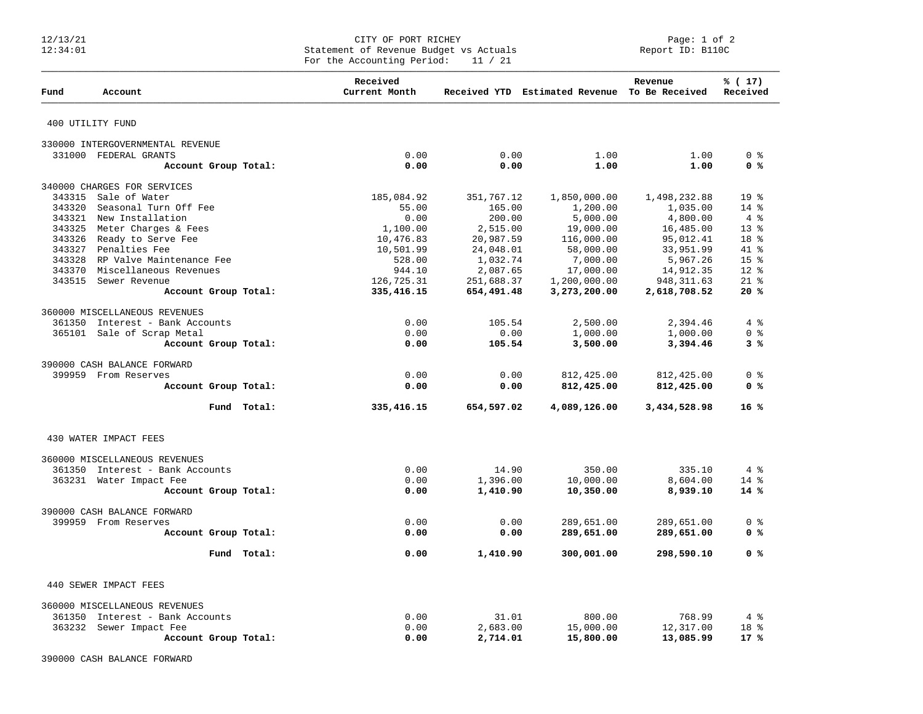## 12/13/21 CITY OF PORT RICHEY Page: 1 of 2 12:34:01 Statement of Revenue Budget vs Actuals Report ID: B110C For the Accounting Period: 11 / 21

| Fund<br>Account                                            |                       | Received<br>Current Month |                   | Received YTD Estimated Revenue To Be Received | Revenue             | $\frac{1}{6}$ (17)<br>Received |
|------------------------------------------------------------|-----------------------|---------------------------|-------------------|-----------------------------------------------|---------------------|--------------------------------|
| 400 UTILITY FUND                                           |                       |                           |                   |                                               |                     |                                |
| 330000 INTERGOVERNMENTAL REVENUE                           |                       |                           |                   |                                               |                     |                                |
| 331000 FEDERAL GRANTS                                      |                       | 0.00                      | 0.00              | 1.00                                          | 1.00                | 0 <sup>8</sup>                 |
|                                                            | Account Group Total:  | 0.00                      | 0.00              | 1.00                                          | 1.00                | 0 <sup>8</sup>                 |
| 340000 CHARGES FOR SERVICES                                |                       |                           |                   |                                               |                     |                                |
| 343315<br>Sale of Water                                    |                       | 185,084.92                | 351,767.12        | 1,850,000.00                                  | 1,498,232.88        | 19 <sup>°</sup>                |
| 343320                                                     | Seasonal Turn Off Fee |                           | 165.00            | 1,200.00                                      | 1,035.00            | $14*$                          |
| 343321 New Installation                                    |                       | 55.00<br>0.00             | 200.00            | 5,000.00                                      | 4,800.00            | 4%                             |
| Meter Charges & Fees<br>343325                             |                       | 1,100.00                  | 2,515.00          | 19,000.00                                     | 16,485.00           | $13*$                          |
| 343326 Ready to Serve Fee                                  |                       | 10,476.83                 | 20,987.59         | 116,000.00                                    | 95,012.41           | 18 %                           |
| 343327 Penalties Fee                                       |                       | 10,501.99                 | 24,048.01         | 58,000.00                                     | 33,951.99           | 41 %                           |
| 343328 RP Valve Maintenance Fee                            |                       | 528.00                    | 1,032.74          | 7,000.00                                      | 5,967.26            | 15 <sup>8</sup>                |
| 343370 Miscellaneous Revenues                              |                       | 944.10                    | 2,087.65          | 17,000.00                                     | 14,912.35           | $12*$                          |
| 343515 Sewer Revenue                                       |                       | 126,725.31                | 251,688.37        | 1,200,000.00                                  | 948, 311.63         | $21$ %                         |
|                                                            | Account Group Total:  | 335, 416.15               | 654,491.48        | 3,273,200.00                                  | 2,618,708.52        | 20%                            |
| 360000 MISCELLANEOUS REVENUES                              |                       |                           |                   |                                               |                     |                                |
| 361350 Interest - Bank Accounts                            |                       | 0.00                      | 105.54            | 2,500.00                                      | 2,394.46            | 4%                             |
| 365101 Sale of Scrap Metal                                 |                       | 0.00                      | 0.00              | 1,000.00                                      | 1,000.00            | 0 <sup>8</sup>                 |
|                                                            | Account Group Total:  | 0.00                      | 105.54            | 3,500.00                                      | 3,394.46            | 3%                             |
| 390000 CASH BALANCE FORWARD                                |                       |                           |                   |                                               |                     |                                |
| 399959 From Reserves                                       |                       | 0.00                      | 0.00              | 812,425.00                                    | 812,425.00          | 0 <sup>8</sup>                 |
|                                                            | Account Group Total:  | 0.00                      | 0.00              | 812,425.00                                    | 812,425.00          | 0 %                            |
|                                                            | Fund Total:           | 335, 416. 15              | 654,597.02        | 4,089,126.00                                  | 3,434,528.98        | 16%                            |
| 430 WATER IMPACT FEES                                      |                       |                           |                   |                                               |                     |                                |
|                                                            |                       |                           |                   |                                               |                     |                                |
| 360000 MISCELLANEOUS REVENUES                              |                       |                           |                   |                                               |                     |                                |
| 361350 Interest - Bank Accounts                            |                       | 0.00                      | 14.90             | 350.00                                        | 335.10              | 4%                             |
| 363231 Water Impact Fee                                    |                       | 0.00                      | 1,396.00          | 10,000.00                                     | 8,604.00            | $14*$                          |
|                                                            | Account Group Total:  | 0.00                      | 1,410.90          | 10,350.00                                     | 8,939.10            | 14%                            |
| 390000 CASH BALANCE FORWARD                                |                       |                           |                   |                                               |                     |                                |
| 399959<br>From Reserves                                    |                       | 0.00                      | 0.00              | 289,651.00                                    | 289,651.00          | 0 <sup>8</sup>                 |
|                                                            | Account Group Total:  | 0.00                      | 0.00              | 289,651.00                                    | 289,651.00          | 0 <sup>8</sup>                 |
|                                                            | Fund Total:           | 0.00                      | 1,410.90          | 300,001.00                                    | 298,590.10          | 0 <sup>8</sup>                 |
| 440 SEWER IMPACT FEES                                      |                       |                           |                   |                                               |                     |                                |
|                                                            |                       |                           |                   |                                               |                     |                                |
| 360000 MISCELLANEOUS REVENUES                              |                       |                           |                   |                                               |                     |                                |
| 361350 Interest - Bank Accounts<br>363232 Sewer Impact Fee |                       | 0.00<br>0.00              | 31.01<br>2,683.00 | 800.00<br>15,000.00                           | 768.99<br>12,317.00 | 4%<br>18 %                     |
|                                                            | Account Group Total:  | 0.00                      | 2,714.01          | 15,800.00                                     | 13,085.99           | $17*$                          |
|                                                            |                       |                           |                   |                                               |                     |                                |

390000 CASH BALANCE FORWARD